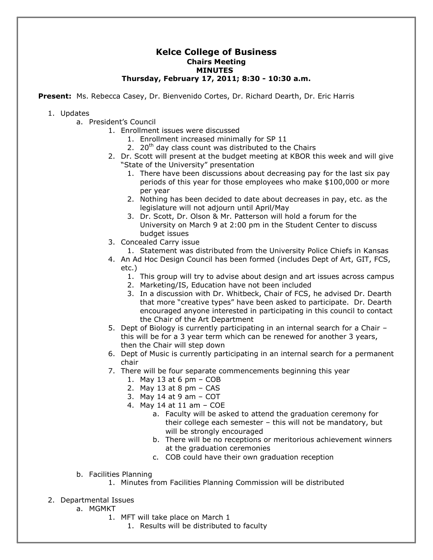## **Kelce College of Business Chairs Meeting MINUTES Thursday, February 17, 2011; 8:30 - 10:30 a.m.**

**Present:** Ms. Rebecca Casey, Dr. Bienvenido Cortes, Dr. Richard Dearth, Dr. Eric Harris

## 1. Updates

- a. President's Council
	- 1. Enrollment issues were discussed
		- 1. Enrollment increased minimally for SP 11
		- 2.  $20<sup>th</sup>$  day class count was distributed to the Chairs
	- 2. Dr. Scott will present at the budget meeting at KBOR this week and will give "State of the University" presentation
		- 1. There have been discussions about decreasing pay for the last six pay periods of this year for those employees who make \$100,000 or more per year
		- 2. Nothing has been decided to date about decreases in pay, etc. as the legislature will not adjourn until April/May
		- 3. Dr. Scott, Dr. Olson & Mr. Patterson will hold a forum for the University on March 9 at 2:00 pm in the Student Center to discuss budget issues
	- 3. Concealed Carry issue
		- 1. Statement was distributed from the University Police Chiefs in Kansas
	- 4. An Ad Hoc Design Council has been formed (includes Dept of Art, GIT, FCS, etc.)
		- 1. This group will try to advise about design and art issues across campus
		- 2. Marketing/IS, Education have not been included
		- 3. In a discussion with Dr. Whitbeck, Chair of FCS, he advised Dr. Dearth that more "creative types" have been asked to participate. Dr. Dearth encouraged anyone interested in participating in this council to contact the Chair of the Art Department
	- 5. Dept of Biology is currently participating in an internal search for a Chair this will be for a 3 year term which can be renewed for another 3 years, then the Chair will step down
	- 6. Dept of Music is currently participating in an internal search for a permanent chair
	- 7. There will be four separate commencements beginning this year
		- 1. May 13 at 6 pm COB
		- 2. May 13 at 8 pm CAS
		- 3. May 14 at 9 am COT
		- 4. May 14 at 11 am COE
			- a. Faculty will be asked to attend the graduation ceremony for their college each semester – this will not be mandatory, but will be strongly encouraged
			- b. There will be no receptions or meritorious achievement winners at the graduation ceremonies
			- c. COB could have their own graduation reception
- b. Facilities Planning
	- 1. Minutes from Facilities Planning Commission will be distributed
- 2. Departmental Issues
	- a. MGMKT
		- 1. MFT will take place on March 1
			- 1. Results will be distributed to faculty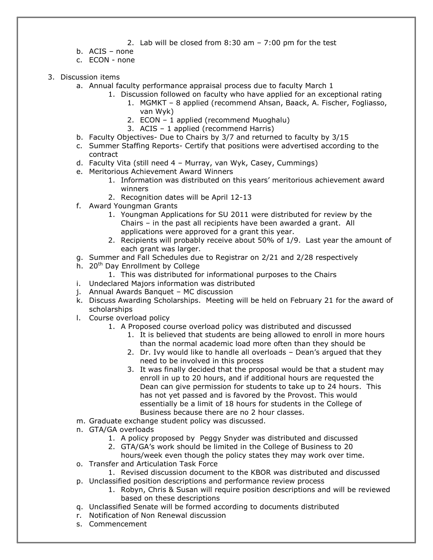- 2. Lab will be closed from 8:30 am 7:00 pm for the test
- b. ACIS none
- c. ECON none
- 3. Discussion items
	- a. Annual faculty performance appraisal process due to faculty March 1
		- 1. Discussion followed on faculty who have applied for an exceptional rating
			- 1. MGMKT 8 applied (recommend Ahsan, Baack, A. Fischer, Fogliasso, van Wyk)
			- 2. ECON 1 applied (recommend Muoghalu)
			- 3. ACIS 1 applied (recommend Harris)
	- b. Faculty Objectives- Due to Chairs by 3/7 and returned to faculty by 3/15
	- c. Summer Staffing Reports- Certify that positions were advertised according to the contract
	- d. Faculty Vita (still need 4 Murray, van Wyk, Casey, Cummings)
	- e. Meritorious Achievement Award Winners
		- 1. Information was distributed on this years' meritorious achievement award winners
		- 2. Recognition dates will be April 12-13
	- f. Award Youngman Grants
		- 1. Youngman Applications for SU 2011 were distributed for review by the Chairs – in the past all recipients have been awarded a grant. All applications were approved for a grant this year.
		- 2. Recipients will probably receive about 50% of 1/9. Last year the amount of each grant was larger.
	- g. Summer and Fall Schedules due to Registrar on 2/21 and 2/28 respectively
	- h. 20<sup>th</sup> Day Enrollment by College
		- 1. This was distributed for informational purposes to the Chairs
	- i. Undeclared Majors information was distributed
	- j. Annual Awards Banquet MC discussion
	- k. Discuss Awarding Scholarships. Meeting will be held on February 21 for the award of scholarships
	- l. Course overload policy
		- 1. A Proposed course overload policy was distributed and discussed
			- 1. It is believed that students are being allowed to enroll in more hours than the normal academic load more often than they should be
			- 2. Dr. Ivy would like to handle all overloads Dean's argued that they need to be involved in this process
			- 3. It was finally decided that the proposal would be that a student may enroll in up to 20 hours, and if additional hours are requested the Dean can give permission for students to take up to 24 hours. This has not yet passed and is favored by the Provost. This would essentially be a limit of 18 hours for students in the College of Business because there are no 2 hour classes.
	- m. Graduate exchange student policy was discussed.
	- n. GTA/GA overloads
		- 1. A policy proposed by Peggy Snyder was distributed and discussed
		- 2. GTA/GA's work should be limited in the College of Business to 20
		- hours/week even though the policy states they may work over time.
	- o. Transfer and Articulation Task Force
		- 1. Revised discussion document to the KBOR was distributed and discussed
	- p. Unclassified position descriptions and performance review process
		- 1. Robyn, Chris & Susan will require position descriptions and will be reviewed based on these descriptions
	- q. Unclassified Senate will be formed according to documents distributed
	- r. Notification of Non Renewal discussion
	- s. Commencement